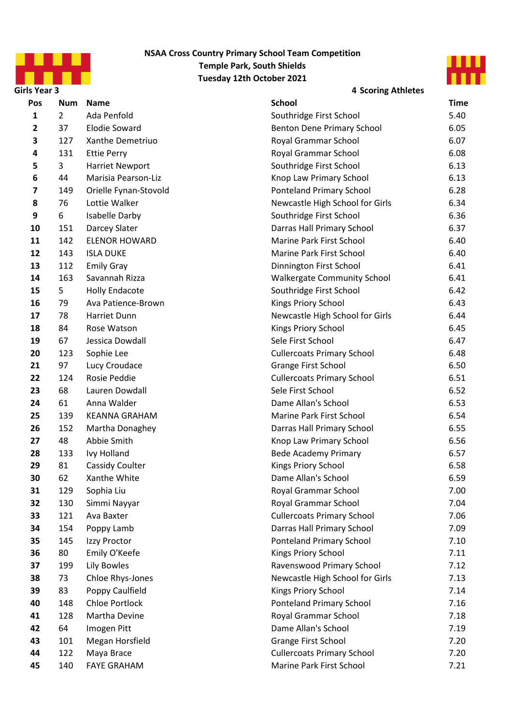



**Girls Year 3 4 Scoring Athletes**

| Pos          | Num            | <b>Name</b>           | <b>School</b>                      | Time |
|--------------|----------------|-----------------------|------------------------------------|------|
| $\mathbf{1}$ | $\overline{2}$ | Ada Penfold           | Southridge First School            | 5.40 |
| $\mathbf{2}$ | 37             | <b>Elodie Soward</b>  | Benton Dene Primary School         | 6.05 |
| 3            | 127            | Xanthe Demetriuo      | Royal Grammar School               | 6.07 |
| 4            | 131            | <b>Ettie Perry</b>    | Royal Grammar School               | 6.08 |
| 5            | 3              | Harriet Newport       | Southridge First School            | 6.13 |
| 6            | 44             | Marisia Pearson-Liz   | Knop Law Primary School            | 6.13 |
| 7            | 149            | Orielle Fynan-Stovold | <b>Ponteland Primary School</b>    | 6.28 |
| 8            | 76             | Lottie Walker         | Newcastle High School for Girls    | 6.34 |
| 9            | 6              | Isabelle Darby        | Southridge First School            | 6.36 |
| 10           | 151            | Darcey Slater         | Darras Hall Primary School         | 6.37 |
| 11           | 142            | <b>ELENOR HOWARD</b>  | Marine Park First School           | 6.40 |
| 12           | 143            | <b>ISLA DUKE</b>      | Marine Park First School           | 6.40 |
| 13           | 112            | <b>Emily Gray</b>     | Dinnington First School            | 6.41 |
| 14           | 163            | Savannah Rizza        | <b>Walkergate Community School</b> | 6.41 |
| 15           | 5              | <b>Holly Endacote</b> | Southridge First School            | 6.42 |
| 16           | 79             | Ava Patience-Brown    | Kings Priory School                | 6.43 |
| 17           | 78             | Harriet Dunn          | Newcastle High School for Girls    | 6.44 |
| 18           | 84             | Rose Watson           | Kings Priory School                | 6.45 |
| 19           | 67             | Jessica Dowdall       | Sele First School                  | 6.47 |
| 20           | 123            | Sophie Lee            | <b>Cullercoats Primary School</b>  | 6.48 |
| 21           | 97             | Lucy Croudace         | Grange First School                | 6.50 |
| 22           | 124            | Rosie Peddie          | <b>Cullercoats Primary School</b>  | 6.51 |
| 23           | 68             | Lauren Dowdall        | Sele First School                  | 6.52 |
| 24           | 61             | Anna Walder           | Dame Allan's School                | 6.53 |
| 25           | 139            | <b>KEANNA GRAHAM</b>  | Marine Park First School           | 6.54 |
| 26           | 152            | Martha Donaghey       | Darras Hall Primary School         | 6.55 |
| 27           | 48             | Abbie Smith           | Knop Law Primary School            | 6.56 |
| 28           | 133            | Ivy Holland           | <b>Bede Academy Primary</b>        | 6.57 |
| 29           | 81             | Cassidy Coulter       | Kings Priory School                | 6.58 |
| 30           | 62             | Xanthe White          | Dame Allan's School                | 6.59 |
| 31           | 129            | Sophia Liu            | Royal Grammar School               | 7.00 |
| 32           | 130            | Simmi Nayyar          | Royal Grammar School               | 7.04 |
| 33           | 121            | Ava Baxter            | <b>Cullercoats Primary School</b>  | 7.06 |
| 34           | 154            | Poppy Lamb            | Darras Hall Primary School         | 7.09 |
| 35           | 145            | Izzy Proctor          | <b>Ponteland Primary School</b>    | 7.10 |
| 36           | 80             | Emily O'Keefe         | Kings Priory School                | 7.11 |
| 37           | 199            | Lily Bowles           | Ravenswood Primary School          | 7.12 |
| 38           | 73             | Chloe Rhys-Jones      | Newcastle High School for Girls    | 7.13 |
| 39           | 83             | Poppy Caulfield       | Kings Priory School                | 7.14 |
| 40           | 148            | <b>Chloe Portlock</b> | <b>Ponteland Primary School</b>    | 7.16 |
| 41           | 128            | Martha Devine         | Royal Grammar School               | 7.18 |
| 42           | 64             | Imogen Pitt           | Dame Allan's School                | 7.19 |
| 43           | 101            | Megan Horsfield       | Grange First School                | 7.20 |
| 44           | 122            | Maya Brace            | <b>Cullercoats Primary School</b>  | 7.20 |
| 45           | 140            | <b>FAYE GRAHAM</b>    | Marine Park First School           | 7.21 |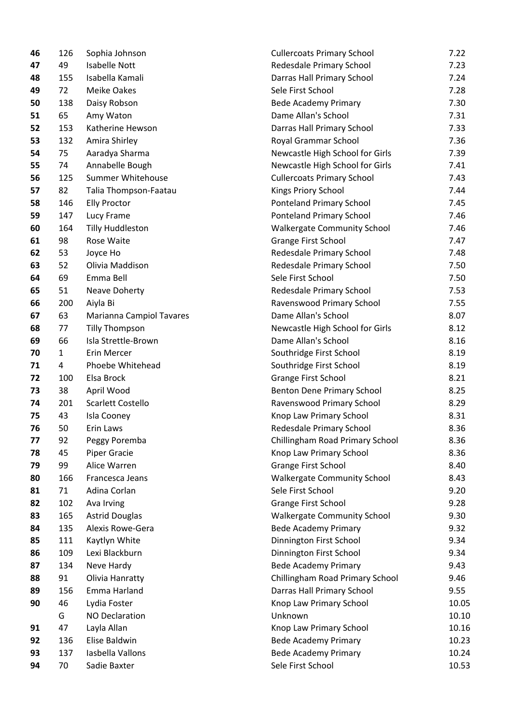| 126          | Sophia Johnson           | <b>Cullercoats Primary School</b>  | 7.22  |
|--------------|--------------------------|------------------------------------|-------|
| 49           | <b>Isabelle Nott</b>     | Redesdale Primary School           | 7.23  |
| 155          | Isabella Kamali          | Darras Hall Primary School         | 7.24  |
| 72           | <b>Meike Oakes</b>       | Sele First School                  | 7.28  |
| 138          | Daisy Robson             | <b>Bede Academy Primary</b>        | 7.30  |
| 65           | Amy Waton                | Dame Allan's School                | 7.31  |
| 153          | Katherine Hewson         | Darras Hall Primary School         | 7.33  |
| 132          | Amira Shirley            | Royal Grammar School               | 7.36  |
| 75           | Aaradya Sharma           | Newcastle High School for Girls    | 7.39  |
| 74           | Annabelle Bough          | Newcastle High School for Girls    | 7.41  |
| 125          | Summer Whitehouse        | <b>Cullercoats Primary School</b>  | 7.43  |
| 82           | Talia Thompson-Faatau    | Kings Priory School                | 7.44  |
| 146          | <b>Elly Proctor</b>      | <b>Ponteland Primary School</b>    | 7.45  |
| 147          | Lucy Frame               | <b>Ponteland Primary School</b>    | 7.46  |
| 164          | <b>Tilly Huddleston</b>  | <b>Walkergate Community School</b> | 7.46  |
| 98           | Rose Waite               | Grange First School                | 7.47  |
| 53           | Joyce Ho                 | Redesdale Primary School           | 7.48  |
| 52           | Olivia Maddison          | Redesdale Primary School           | 7.50  |
| 69           | Emma Bell                | Sele First School                  | 7.50  |
| 51           | Neave Doherty            | Redesdale Primary School           | 7.53  |
| 200          | Aiyla Bi                 | Ravenswood Primary School          | 7.55  |
| 63           | Marianna Campiol Tavares | Dame Allan's School                | 8.07  |
| 77           | <b>Tilly Thompson</b>    | Newcastle High School for Girls    | 8.12  |
| 66           | Isla Strettle-Brown      | Dame Allan's School                | 8.16  |
| $\mathbf{1}$ | Erin Mercer              | Southridge First School            | 8.19  |
| 4            | Phoebe Whitehead         | Southridge First School            | 8.19  |
| 100          | Elsa Brock               | <b>Grange First School</b>         | 8.21  |
| 38           | April Wood               | <b>Benton Dene Primary School</b>  | 8.25  |
| 201          | Scarlett Costello        | Ravenswood Primary School          | 8.29  |
| 43           | Isla Cooney              | Knop Law Primary School            | 8.31  |
| 50           | Erin Laws                | Redesdale Primary School           | 8.36  |
| 92           | Peggy Poremba            | Chillingham Road Primary School    | 8.36  |
| 45           | <b>Piper Gracie</b>      | Knop Law Primary School            | 8.36  |
| 99           | Alice Warren             | Grange First School                | 8.40  |
| 166          | Francesca Jeans          | <b>Walkergate Community School</b> | 8.43  |
| 71           |                          | Sele First School                  | 9.20  |
| 102          | Ava Irving               | Grange First School                | 9.28  |
| 165          | <b>Astrid Douglas</b>    | <b>Walkergate Community School</b> | 9.30  |
| 135          | Alexis Rowe-Gera         | <b>Bede Academy Primary</b>        | 9.32  |
| 111          | Kaytlyn White            | Dinnington First School            | 9.34  |
| 109          | Lexi Blackburn           | Dinnington First School            | 9.34  |
| 134          | Neve Hardy               | <b>Bede Academy Primary</b>        | 9.43  |
| 91           | Olivia Hanratty          | Chillingham Road Primary School    | 9.46  |
| 156          | Emma Harland             | Darras Hall Primary School         | 9.55  |
| 46           | Lydia Foster             | Knop Law Primary School            | 10.05 |
| G            | <b>NO Declaration</b>    | Unknown                            | 10.10 |
| 47           | Layla Allan              | Knop Law Primary School            | 10.16 |
| 136          | Elise Baldwin            | <b>Bede Academy Primary</b>        | 10.23 |
| 137          | Iasbella Vallons         | <b>Bede Academy Primary</b>        | 10.24 |
|              | Sadie Baxter             | Sele First School                  | 10.53 |
|              | 70                       | Adina Corlan                       |       |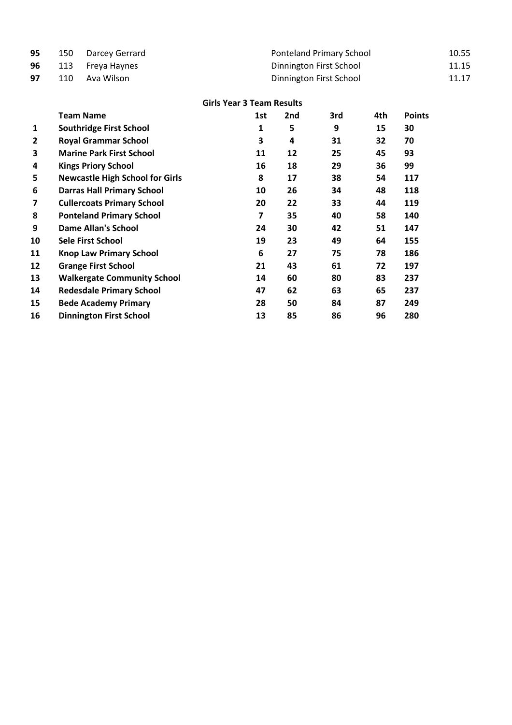| 95 | 150 | Darcey Gerrard                         | <b>Ponteland Primary School</b>  |     |                         |     |               |       |  |
|----|-----|----------------------------------------|----------------------------------|-----|-------------------------|-----|---------------|-------|--|
| 96 | 113 | Freya Haynes                           | Dinnington First School          |     |                         |     |               |       |  |
| 97 | 110 | Ava Wilson                             |                                  |     | Dinnington First School |     |               | 11.17 |  |
|    |     |                                        | <b>Girls Year 3 Team Results</b> |     |                         |     |               |       |  |
|    |     | <b>Team Name</b>                       | 1st                              | 2nd | 3rd                     | 4th | <b>Points</b> |       |  |
| 1  |     | <b>Southridge First School</b>         | 1                                | 5   | 9                       | 15  | 30            |       |  |
| 2  |     | <b>Royal Grammar School</b>            | 3                                | 4   | 31                      | 32  | 70            |       |  |
| 3  |     | <b>Marine Park First School</b>        | 11                               | 12  | 25                      | 45  | 93            |       |  |
| 4  |     | <b>Kings Priory School</b>             | 16                               | 18  | 29                      | 36  | 99            |       |  |
| 5  |     | <b>Newcastle High School for Girls</b> | 8                                | 17  | 38                      | 54  | 117           |       |  |
| 6  |     | <b>Darras Hall Primary School</b>      | 10                               | 26  | 34                      | 48  | 118           |       |  |
| 7  |     | <b>Cullercoats Primary School</b>      | 20                               | 22  | 33                      | 44  | 119           |       |  |
| 8  |     | <b>Ponteland Primary School</b>        | 7                                | 35  | 40                      | 58  | 140           |       |  |
| 9  |     | <b>Dame Allan's School</b>             | 24                               | 30  | 42                      | 51  | 147           |       |  |
| 10 |     | <b>Sele First School</b>               | 19                               | 23  | 49                      | 64  | 155           |       |  |
| 11 |     | <b>Knop Law Primary School</b>         | 6                                | 27  | 75                      | 78  | 186           |       |  |
| 12 |     | <b>Grange First School</b>             | 21                               | 43  | 61                      | 72  | 197           |       |  |
| 13 |     | <b>Walkergate Community School</b>     | 14                               | 60  | 80                      | 83  | 237           |       |  |
| 14 |     | <b>Redesdale Primary School</b>        | 47                               | 62  | 63                      | 65  | 237           |       |  |
| 15 |     | <b>Bede Academy Primary</b>            | 28                               | 50  | 84                      | 87  | 249           |       |  |

**Dinnington First School 13 85 86 96 280**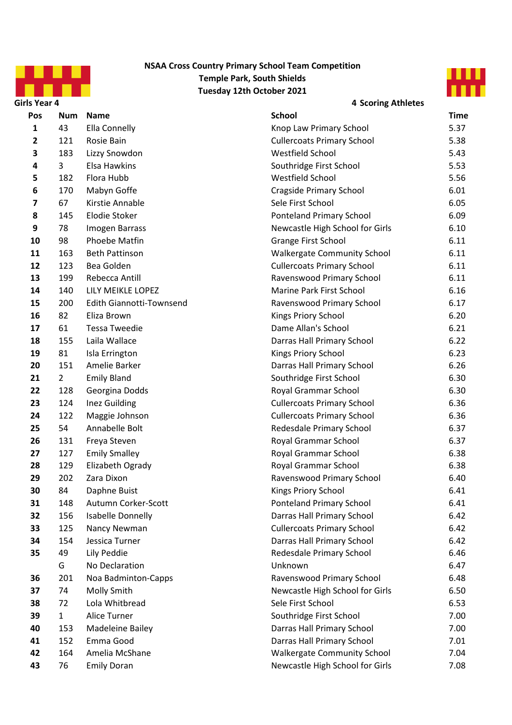



| Girls Year 4 |                |                          | <b>4 Scoring Athletes</b>          |             |  |  |  |
|--------------|----------------|--------------------------|------------------------------------|-------------|--|--|--|
| Pos          | Num            | <b>Name</b>              | <b>School</b>                      | <b>Time</b> |  |  |  |
| 1            | 43             | Ella Connelly            | Knop Law Primary School            | 5.37        |  |  |  |
| $\mathbf{2}$ | 121            | Rosie Bain               | <b>Cullercoats Primary School</b>  | 5.38        |  |  |  |
| 3            | 183            | Lizzy Snowdon            | Westfield School                   | 5.43        |  |  |  |
| 4            | 3              | Elsa Hawkins             | Southridge First School            | 5.53        |  |  |  |
| 5            | 182            | Flora Hubb               | Westfield School                   | 5.56        |  |  |  |
| 6            | 170            | Mabyn Goffe              | <b>Cragside Primary School</b>     | 6.01        |  |  |  |
| 7            | 67             | Kirstie Annable          | Sele First School                  | 6.05        |  |  |  |
| 8            | 145            | Elodie Stoker            | <b>Ponteland Primary School</b>    | 6.09        |  |  |  |
| 9            | 78             | Imogen Barrass           | Newcastle High School for Girls    | 6.10        |  |  |  |
| 10           | 98             | Phoebe Matfin            | Grange First School                | 6.11        |  |  |  |
| 11           | 163            | <b>Beth Pattinson</b>    | <b>Walkergate Community School</b> | 6.11        |  |  |  |
| 12           | 123            | Bea Golden               | <b>Cullercoats Primary School</b>  | 6.11        |  |  |  |
| 13           | 199            | Rebecca Antill           | Ravenswood Primary School          | 6.11        |  |  |  |
| 14           | 140            | LILY MEIKLE LOPEZ        | Marine Park First School           | 6.16        |  |  |  |
| 15           | 200            | Edith Giannotti-Townsend | Ravenswood Primary School          | 6.17        |  |  |  |
| 16           | 82             | Eliza Brown              | Kings Priory School                | 6.20        |  |  |  |
| 17           | 61             | <b>Tessa Tweedie</b>     | Dame Allan's School                | 6.21        |  |  |  |
| 18           | 155            | Laila Wallace            | Darras Hall Primary School         | 6.22        |  |  |  |
| 19           | 81             | Isla Errington           | Kings Priory School                | 6.23        |  |  |  |
| 20           | 151            | Amelie Barker            | Darras Hall Primary School         | 6.26        |  |  |  |
| 21           | $\overline{2}$ | <b>Emily Bland</b>       | Southridge First School            | 6.30        |  |  |  |
| 22           | 128            | Georgina Dodds           | Royal Grammar School               | 6.30        |  |  |  |
| 23           | 124            | Inez Guilding            | <b>Cullercoats Primary School</b>  | 6.36        |  |  |  |
| 24           | 122            | Maggie Johnson           | <b>Cullercoats Primary School</b>  | 6.36        |  |  |  |
| 25           | 54             | Annabelle Bolt           | Redesdale Primary School           | 6.37        |  |  |  |
| 26           | 131            | Freya Steven             | Royal Grammar School               | 6.37        |  |  |  |
| 27           | 127            | <b>Emily Smalley</b>     | Royal Grammar School               | 6.38        |  |  |  |
| 28           | 129            | Elizabeth Ogrady         | Royal Grammar School               | 6.38        |  |  |  |
| 29           | 202            | Zara Dixon               | Ravenswood Primary School          | 6.40        |  |  |  |
| 30           | 84             | Daphne Buist             | Kings Priory School                | 6.41        |  |  |  |
| 31           | 148            | Autumn Corker-Scott      | Ponteland Primary School           | 6.41        |  |  |  |
| 32           | 156            | Isabelle Donnelly        | Darras Hall Primary School         | 6.42        |  |  |  |
| 33           | 125            | Nancy Newman             | <b>Cullercoats Primary School</b>  | 6.42        |  |  |  |
| 34           | 154            | Jessica Turner           | Darras Hall Primary School         | 6.42        |  |  |  |
| 35           | 49             | Lily Peddie              | Redesdale Primary School           | 6.46        |  |  |  |
|              | G              | No Declaration           | Unknown                            | 6.47        |  |  |  |
| 36           | 201            | Noa Badminton-Capps      | Ravenswood Primary School          | 6.48        |  |  |  |
| 37           | 74             | Molly Smith              | Newcastle High School for Girls    | 6.50        |  |  |  |
| 38           | 72             | Lola Whitbread           | Sele First School                  | 6.53        |  |  |  |
| 39           | $\mathbf{1}$   | Alice Turner             | Southridge First School            | 7.00        |  |  |  |
| 40           | 153            | Madeleine Bailey         | Darras Hall Primary School         | 7.00        |  |  |  |
| 41           | 152            | Emma Good                | Darras Hall Primary School         | 7.01        |  |  |  |
| 42           | 164            | Amelia McShane           | <b>Walkergate Community School</b> | 7.04        |  |  |  |
| 43           | 76             | <b>Emily Doran</b>       | Newcastle High School for Girls    | 7.08        |  |  |  |
|              |                |                          |                                    |             |  |  |  |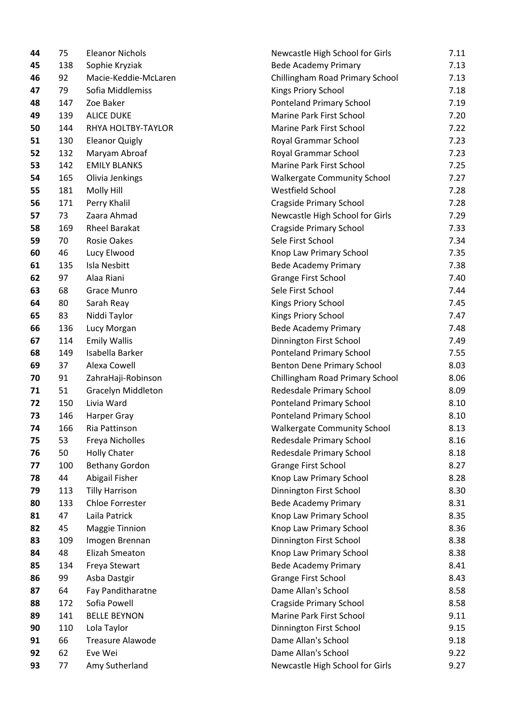| 44 | 75  | <b>Eleanor Nichols</b>  | Newcastle High School for Girls    | 7.11 |
|----|-----|-------------------------|------------------------------------|------|
| 45 | 138 | Sophie Kryziak          | <b>Bede Academy Primary</b>        | 7.13 |
| 46 | 92  | Macie-Keddie-McLaren    | Chillingham Road Primary School    | 7.13 |
| 47 | 79  | Sofia Middlemiss        | Kings Priory School                | 7.18 |
| 48 | 147 | Zoe Baker               | Ponteland Primary School           | 7.19 |
| 49 | 139 | <b>ALICE DUKE</b>       | Marine Park First School           | 7.20 |
| 50 | 144 | RHYA HOLTBY-TAYLOR      | Marine Park First School           | 7.22 |
| 51 | 130 | <b>Eleanor Quigly</b>   | Royal Grammar School               | 7.23 |
| 52 | 132 | Maryam Abroaf           | Royal Grammar School               | 7.23 |
| 53 | 142 | <b>EMILY BLANKS</b>     | Marine Park First School           | 7.25 |
| 54 | 165 | Olivia Jenkings         | <b>Walkergate Community School</b> | 7.27 |
| 55 | 181 | Molly Hill              | Westfield School                   | 7.28 |
| 56 | 171 | Perry Khalil            | <b>Cragside Primary School</b>     | 7.28 |
| 57 | 73  | Zaara Ahmad             | Newcastle High School for Girls    | 7.29 |
| 58 | 169 | <b>Rheel Barakat</b>    | <b>Cragside Primary School</b>     | 7.33 |
| 59 | 70  | <b>Rosie Oakes</b>      | Sele First School                  | 7.34 |
| 60 | 46  | Lucy Elwood             | Knop Law Primary School            | 7.35 |
| 61 | 135 | Isla Nesbitt            | <b>Bede Academy Primary</b>        | 7.38 |
| 62 | 97  | Alaa Riani              | <b>Grange First School</b>         | 7.40 |
| 63 | 68  | Grace Munro             | Sele First School                  | 7.44 |
| 64 | 80  | Sarah Reay              | Kings Priory School                | 7.45 |
| 65 | 83  | Niddi Taylor            | Kings Priory School                | 7.47 |
| 66 | 136 | Lucy Morgan             | <b>Bede Academy Primary</b>        | 7.48 |
| 67 | 114 | <b>Emily Wallis</b>     | Dinnington First School            | 7.49 |
| 68 | 149 | Isabella Barker         | <b>Ponteland Primary School</b>    | 7.55 |
| 69 | 37  | Alexa Cowell            | Benton Dene Primary School         | 8.03 |
| 70 | 91  | ZahraHaji-Robinson      | Chillingham Road Primary School    | 8.06 |
| 71 | 51  | Gracelyn Middleton      | Redesdale Primary School           | 8.09 |
| 72 | 150 | Livia Ward              | Ponteland Primary School           | 8.10 |
| 73 | 146 | Harper Gray             | <b>Ponteland Primary School</b>    | 8.10 |
| 74 | 166 | Ria Pattinson           | <b>Walkergate Community School</b> | 8.13 |
| 75 | 53  | Freya Nicholles         | Redesdale Primary School           | 8.16 |
| 76 | 50  | <b>Holly Chater</b>     | Redesdale Primary School           | 8.18 |
| 77 | 100 | <b>Bethany Gordon</b>   | <b>Grange First School</b>         | 8.27 |
| 78 | 44  | Abigail Fisher          | Knop Law Primary School            | 8.28 |
| 79 | 113 | <b>Tilly Harrison</b>   | Dinnington First School            | 8.30 |
| 80 | 133 | Chloe Forrester         | <b>Bede Academy Primary</b>        | 8.31 |
| 81 | 47  | Laila Patrick           | Knop Law Primary School            | 8.35 |
| 82 | 45  | Maggie Tinnion          | Knop Law Primary School            | 8.36 |
| 83 | 109 | Imogen Brennan          | Dinnington First School            | 8.38 |
| 84 | 48  | Elizah Smeaton          | Knop Law Primary School            | 8.38 |
| 85 | 134 | Freya Stewart           | <b>Bede Academy Primary</b>        | 8.41 |
| 86 | 99  | Asba Dastgir            | Grange First School                | 8.43 |
| 87 | 64  | Fay Panditharatne       | Dame Allan's School                | 8.58 |
| 88 | 172 | Sofia Powell            | <b>Cragside Primary School</b>     | 8.58 |
| 89 | 141 | <b>BELLE BEYNON</b>     | Marine Park First School           | 9.11 |
| 90 | 110 | Lola Taylor             | Dinnington First School            | 9.15 |
| 91 | 66  | <b>Treasure Alawode</b> | Dame Allan's School                | 9.18 |
| 92 | 62  | Eve Wei                 | Dame Allan's School                | 9.22 |
| 93 | 77  | Amy Sutherland          | Newcastle High School for Girls    | 9.27 |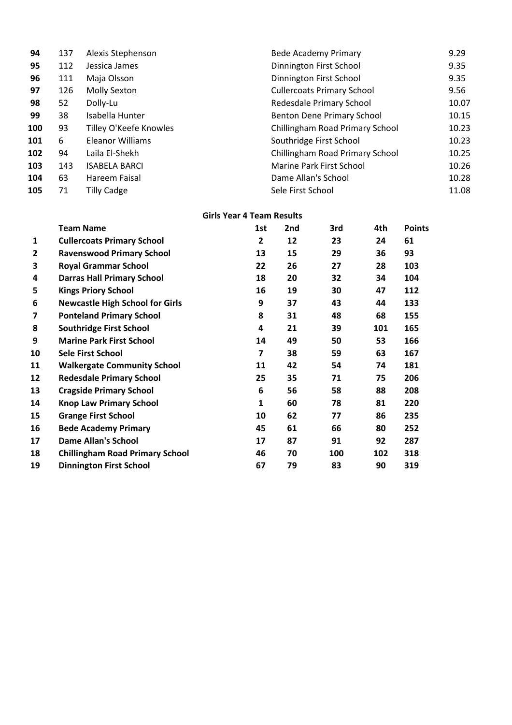| 94  | 137 | Alexis Stephenson       | <b>Bede Academy Primary</b>       | 9.29  |
|-----|-----|-------------------------|-----------------------------------|-------|
| 95  | 112 | Jessica James           | Dinnington First School           | 9.35  |
| 96  | 111 | Maja Olsson             | Dinnington First School           | 9.35  |
| 97  | 126 | Molly Sexton            | <b>Cullercoats Primary School</b> | 9.56  |
| 98  | 52  | Dolly-Lu                | Redesdale Primary School          | 10.07 |
| 99  | 38  | Isabella Hunter         | Benton Dene Primary School        | 10.15 |
| 100 | 93  | Tilley O'Keefe Knowles  | Chillingham Road Primary School   | 10.23 |
| 101 | 6   | <b>Eleanor Williams</b> | Southridge First School           | 10.23 |
| 102 | 94  | Laila El-Shekh          | Chillingham Road Primary School   | 10.25 |
| 103 | 143 | <b>ISABELA BARCI</b>    | Marine Park First School          | 10.26 |
| 104 | 63  | Hareem Faisal           | Dame Allan's School               | 10.28 |
| 105 | 71  | <b>Tilly Cadge</b>      | Sele First School                 | 11.08 |

#### **Girls Year 4 Team Results**

|    | <b>Team Name</b>                       | 1st | 2nd | 3rd | 4th | <b>Points</b> |
|----|----------------------------------------|-----|-----|-----|-----|---------------|
| 1  | <b>Cullercoats Primary School</b>      | 2   | 12  | 23  | 24  | 61            |
| 2  | <b>Ravenswood Primary School</b>       | 13  | 15  | 29  | 36  | 93            |
| 3  | <b>Royal Grammar School</b>            | 22  | 26  | 27  | 28  | 103           |
| 4  | <b>Darras Hall Primary School</b>      | 18  | 20  | 32  | 34  | 104           |
| 5  | <b>Kings Priory School</b>             | 16  | 19  | 30  | 47  | 112           |
| 6  | <b>Newcastle High School for Girls</b> | 9   | 37  | 43  | 44  | 133           |
| 7  | <b>Ponteland Primary School</b>        | 8   | 31  | 48  | 68  | 155           |
| 8  | <b>Southridge First School</b>         | 4   | 21  | 39  | 101 | 165           |
| 9  | <b>Marine Park First School</b>        | 14  | 49  | 50  | 53  | 166           |
| 10 | <b>Sele First School</b>               | 7   | 38  | 59  | 63  | 167           |
| 11 | <b>Walkergate Community School</b>     | 11  | 42  | 54  | 74  | 181           |
| 12 | <b>Redesdale Primary School</b>        | 25  | 35  | 71  | 75  | 206           |
| 13 | <b>Cragside Primary School</b>         | 6   | 56  | 58  | 88  | 208           |
| 14 | <b>Knop Law Primary School</b>         | 1   | 60  | 78  | 81  | 220           |
| 15 | <b>Grange First School</b>             | 10  | 62  | 77  | 86  | 235           |
| 16 | <b>Bede Academy Primary</b>            | 45  | 61  | 66  | 80  | 252           |
| 17 | <b>Dame Allan's School</b>             | 17  | 87  | 91  | 92  | 287           |
| 18 | <b>Chillingham Road Primary School</b> | 46  | 70  | 100 | 102 | 318           |
| 19 | <b>Dinnington First School</b>         | 67  | 79  | 83  | 90  | 319           |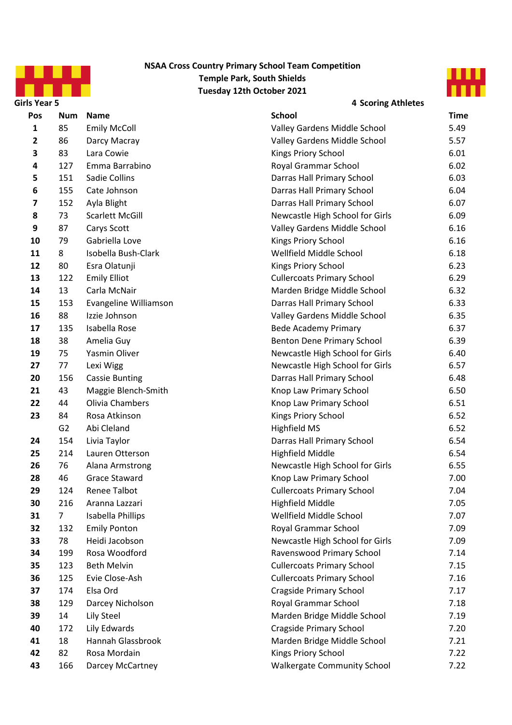



| <b>Girls Year 5</b> |                |                        | <b>4 Scoring Athletes</b>          |             |
|---------------------|----------------|------------------------|------------------------------------|-------------|
| Pos                 | Num            | <b>Name</b>            | <b>School</b>                      | <b>Time</b> |
| 1                   | 85             | <b>Emily McColl</b>    | Valley Gardens Middle School       | 5.49        |
| $\mathbf{2}$        | 86             | Darcy Macray           | Valley Gardens Middle School       | 5.57        |
| 3                   | 83             | Lara Cowie             | Kings Priory School                | 6.01        |
| 4                   | 127            | Emma Barrabino         | Royal Grammar School               | 6.02        |
| 5                   | 151            | Sadie Collins          | Darras Hall Primary School         | 6.03        |
| 6                   | 155            | Cate Johnson           | Darras Hall Primary School         | 6.04        |
| 7                   | 152            | Ayla Blight            | Darras Hall Primary School         | 6.07        |
| 8                   | 73             | <b>Scarlett McGill</b> | Newcastle High School for Girls    | 6.09        |
| 9                   | 87             | Carys Scott            | Valley Gardens Middle School       | 6.16        |
| 10                  | 79             | Gabriella Love         | Kings Priory School                | 6.16        |
| 11                  | 8              | Isobella Bush-Clark    | Wellfield Middle School            | 6.18        |
| 12                  | 80             | Esra Olatunji          | Kings Priory School                | 6.23        |
| 13                  | 122            | <b>Emily Elliot</b>    | <b>Cullercoats Primary School</b>  | 6.29        |
| 14                  | 13             | Carla McNair           | Marden Bridge Middle School        | 6.32        |
| 15                  | 153            | Evangeline Williamson  | Darras Hall Primary School         | 6.33        |
| 16                  | 88             | Izzie Johnson          | Valley Gardens Middle School       | 6.35        |
| 17                  | 135            | Isabella Rose          | <b>Bede Academy Primary</b>        | 6.37        |
| 18                  | 38             | Amelia Guy             | Benton Dene Primary School         | 6.39        |
| 19                  | 75             | Yasmin Oliver          | Newcastle High School for Girls    | 6.40        |
| 27                  | 77             | Lexi Wigg              | Newcastle High School for Girls    | 6.57        |
| 20                  | 156            | <b>Cassie Bunting</b>  | Darras Hall Primary School         | 6.48        |
| 21                  | 43             | Maggie Blench-Smith    | Knop Law Primary School            | 6.50        |
| 22                  | 44             | Olivia Chambers        | Knop Law Primary School            | 6.51        |
| 23                  | 84             | Rosa Atkinson          | Kings Priory School                | 6.52        |
|                     | G <sub>2</sub> | Abi Cleland            | Highfield MS                       | 6.52        |
| 24                  | 154            | Livia Taylor           | Darras Hall Primary School         | 6.54        |
| 25                  | 214            | Lauren Otterson        | <b>Highfield Middle</b>            | 6.54        |
| 26                  | 76             | Alana Armstrong        | Newcastle High School for Girls    | 6.55        |
| 28                  | 46             | Grace Staward          | Knop Law Primary School            | 7.00        |
| 29                  | 124            | <b>Renee Talbot</b>    | <b>Cullercoats Primary School</b>  | 7.04        |
| 30                  | 216            | Aranna Lazzari         | <b>Highfield Middle</b>            | 7.05        |
| 31                  | 7              | Isabella Phillips      | Wellfield Middle School            | 7.07        |
| 32                  | 132            | <b>Emily Ponton</b>    | Royal Grammar School               | 7.09        |
| 33                  | 78             | Heidi Jacobson         | Newcastle High School for Girls    | 7.09        |
| 34                  | 199            | Rosa Woodford          | Ravenswood Primary School          | 7.14        |
| 35                  | 123            | <b>Beth Melvin</b>     | <b>Cullercoats Primary School</b>  | 7.15        |
| 36                  | 125            | Evie Close-Ash         | <b>Cullercoats Primary School</b>  | 7.16        |
| 37                  | 174            | Elsa Ord               | <b>Cragside Primary School</b>     | 7.17        |
| 38                  | 129            | Darcey Nicholson       | Royal Grammar School               | 7.18        |
| 39                  | 14             | Lily Steel             | Marden Bridge Middle School        | 7.19        |
| 40                  | 172            | Lily Edwards           | <b>Cragside Primary School</b>     | 7.20        |
| 41                  | 18             | Hannah Glassbrook      | Marden Bridge Middle School        | 7.21        |
| 42                  | 82             | Rosa Mordain           | Kings Priory School                | 7.22        |
| 43                  | 166            | Darcey McCartney       | <b>Walkergate Community School</b> | 7.22        |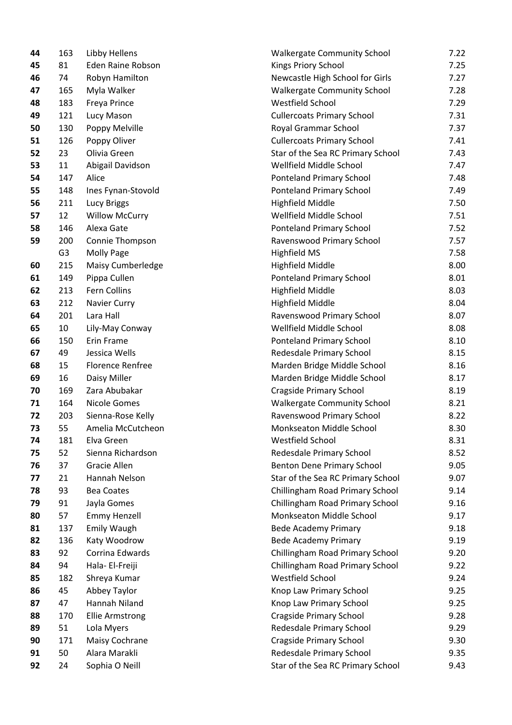| 44 | 103 | Libby Hellens            | waikergate community           |
|----|-----|--------------------------|--------------------------------|
| 45 | 81  | <b>Eden Raine Robson</b> | Kings Priory School            |
| 46 | 74  | Robyn Hamilton           | Newcastle High School f        |
| 47 | 165 | Myla Walker              | <b>Walkergate Community</b>    |
| 48 | 183 | Freya Prince             | Westfield School               |
| 49 | 121 | Lucy Mason               | <b>Cullercoats Primary Sch</b> |
| 50 | 130 | Poppy Melville           | Royal Grammar School           |
| 51 | 126 | Poppy Oliver             | <b>Cullercoats Primary Sch</b> |
| 52 | 23  | Olivia Green             | Star of the Sea RC Prima       |
| 53 | 11  | Abigail Davidson         | Wellfield Middle School        |
| 54 | 147 | Alice                    | <b>Ponteland Primary Scho</b>  |
| 55 | 148 | Ines Fynan-Stovold       | <b>Ponteland Primary Scho</b>  |
| 56 | 211 | Lucy Briggs              | <b>Highfield Middle</b>        |
| 57 | 12  | <b>Willow McCurry</b>    | Wellfield Middle School        |
| 58 | 146 | Alexa Gate               | <b>Ponteland Primary Scho</b>  |
| 59 | 200 | Connie Thompson          | Ravenswood Primary Sc          |
|    | G3  | <b>Molly Page</b>        | <b>Highfield MS</b>            |
| 60 | 215 | Maisy Cumberledge        | <b>Highfield Middle</b>        |
| 61 | 149 | Pippa Cullen             | <b>Ponteland Primary Scho</b>  |
| 62 | 213 | Fern Collins             | <b>Highfield Middle</b>        |
| 63 | 212 | <b>Navier Curry</b>      | <b>Highfield Middle</b>        |
| 64 | 201 | Lara Hall                | Ravenswood Primary Sc          |
| 65 | 10  | Lily-May Conway          | Wellfield Middle School        |
| 66 | 150 | Erin Frame               | <b>Ponteland Primary Scho</b>  |
| 67 | 49  | Jessica Wells            | Redesdale Primary Scho         |
| 68 | 15  | <b>Florence Renfree</b>  | Marden Bridge Middle 9         |
| 69 | 16  | Daisy Miller             | Marden Bridge Middle 9         |
| 70 | 169 | Zara Abubakar            | <b>Cragside Primary Schoo</b>  |
| 71 | 164 | <b>Nicole Gomes</b>      | <b>Walkergate Community</b>    |
| 72 | 203 | Sienna-Rose Kelly        | Ravenswood Primary Sc          |
| 73 | 55  | Amelia McCutcheon        | Monkseaton Middle Sch          |
| 74 | 181 | Elva Green               | Westfield School               |
| 75 | 52  | Sienna Richardson        | Redesdale Primary Scho         |
| 76 | 37  | <b>Gracie Allen</b>      | <b>Benton Dene Primary So</b>  |
| 77 | 21  | Hannah Nelson            | Star of the Sea RC Prima       |
| 78 | 93  | <b>Bea Coates</b>        | Chillingham Road Prima         |
| 79 | 91  | Jayla Gomes              | Chillingham Road Prima         |
| 80 | 57  | <b>Emmy Henzell</b>      | Monkseaton Middle Sch          |
| 81 | 137 | <b>Emily Waugh</b>       | <b>Bede Academy Primary</b>    |
| 82 | 136 | Katy Woodrow             | <b>Bede Academy Primary</b>    |
| 83 | 92  | Corrina Edwards          | Chillingham Road Prima         |
| 84 | 94  | Hala- El-Freiji          | Chillingham Road Prima         |
| 85 | 182 | Shreya Kumar             | Westfield School               |
| 86 | 45  | Abbey Taylor             | Knop Law Primary Scho          |
| 87 | 47  | Hannah Niland            | Knop Law Primary Scho          |
| 88 | 170 | <b>Ellie Armstrong</b>   | <b>Cragside Primary Schoo</b>  |
| 89 | 51  | Lola Myers               | Redesdale Primary Scho         |
| 90 | 171 | Maisy Cochrane           | Cragside Primary Schoo         |
| 91 | 50  | Alara Marakli            | Redesdale Primary Scho         |
| 92 | 24  | Sophia O Neill           | Star of the Sea RC Prima       |
|    |     |                          |                                |

| 44 | 163            | Libby Hellens            | <b>Walkergate Community School</b> | 7.22 |
|----|----------------|--------------------------|------------------------------------|------|
| 45 | 81             | <b>Eden Raine Robson</b> | Kings Priory School                | 7.25 |
| 46 | 74             | Robyn Hamilton           | Newcastle High School for Girls    | 7.27 |
| 47 | 165            | Myla Walker              | <b>Walkergate Community School</b> | 7.28 |
| 48 | 183            | Freya Prince             | Westfield School                   | 7.29 |
| 49 | 121            | Lucy Mason               | <b>Cullercoats Primary School</b>  | 7.31 |
| 50 | 130            | Poppy Melville           | Royal Grammar School               | 7.37 |
| 51 | 126            | Poppy Oliver             | <b>Cullercoats Primary School</b>  | 7.41 |
| 52 | 23             | Olivia Green             | Star of the Sea RC Primary School  | 7.43 |
| 53 | 11             | Abigail Davidson         | Wellfield Middle School            | 7.47 |
| 54 | 147            | Alice                    | Ponteland Primary School           | 7.48 |
| 55 | 148            | Ines Fynan-Stovold       | Ponteland Primary School           | 7.49 |
| 56 | 211            | Lucy Briggs              | <b>Highfield Middle</b>            | 7.50 |
| 57 | 12             | <b>Willow McCurry</b>    | Wellfield Middle School            | 7.51 |
| 58 | 146            | Alexa Gate               | <b>Ponteland Primary School</b>    | 7.52 |
| 59 | 200            | Connie Thompson          | Ravenswood Primary School          | 7.57 |
|    | G <sub>3</sub> | Molly Page               | Highfield MS                       | 7.58 |
| 60 | 215            | Maisy Cumberledge        | <b>Highfield Middle</b>            | 8.00 |
| 61 | 149            | Pippa Cullen             | Ponteland Primary School           | 8.01 |
| 62 | 213            | Fern Collins             | <b>Highfield Middle</b>            | 8.03 |
| 63 | 212            | Navier Curry             | <b>Highfield Middle</b>            | 8.04 |
| 64 | 201            | Lara Hall                | Ravenswood Primary School          | 8.07 |
| 65 | 10             | Lily-May Conway          | Wellfield Middle School            | 8.08 |
| 66 | 150            | Erin Frame               | Ponteland Primary School           | 8.10 |
| 67 | 49             | Jessica Wells            | Redesdale Primary School           | 8.15 |
| 68 | 15             | <b>Florence Renfree</b>  | Marden Bridge Middle School        | 8.16 |
| 69 | 16             | Daisy Miller             | Marden Bridge Middle School        | 8.17 |
| 70 | 169            | Zara Abubakar            | <b>Cragside Primary School</b>     | 8.19 |
| 71 | 164            | Nicole Gomes             | <b>Walkergate Community School</b> | 8.21 |
| 72 | 203            | Sienna-Rose Kelly        | Ravenswood Primary School          | 8.22 |
| 73 | 55             | Amelia McCutcheon        | Monkseaton Middle School           | 8.30 |
| 74 | 181            | Elva Green               | Westfield School                   | 8.31 |
| 75 | 52             | Sienna Richardson        | Redesdale Primary School           | 8.52 |
| 76 | 37             | Gracie Allen             | Benton Dene Primary School         | 9.05 |
| 77 | 21             | Hannah Nelson            | Star of the Sea RC Primary School  | 9.07 |
| 78 | 93             | <b>Bea Coates</b>        | Chillingham Road Primary School    | 9.14 |
| 79 | 91             | Jayla Gomes              | Chillingham Road Primary School    | 9.16 |
| 80 | 57             | <b>Emmy Henzell</b>      | Monkseaton Middle School           | 9.17 |
| 81 | 137            | <b>Emily Waugh</b>       | <b>Bede Academy Primary</b>        | 9.18 |
| 82 | 136            | Katy Woodrow             | <b>Bede Academy Primary</b>        | 9.19 |
| 83 | 92             | Corrina Edwards          | Chillingham Road Primary School    | 9.20 |
| 84 | 94             | Hala- El-Freiji          | Chillingham Road Primary School    | 9.22 |
| 85 | 182            | Shreya Kumar             | Westfield School                   | 9.24 |
| 86 | 45             | Abbey Taylor             | Knop Law Primary School            | 9.25 |
| 87 | 47             | Hannah Niland            | Knop Law Primary School            | 9.25 |
| 88 | 170            | <b>Ellie Armstrong</b>   | <b>Cragside Primary School</b>     | 9.28 |
| 89 | 51             | Lola Myers               | Redesdale Primary School           | 9.29 |
| 90 | 171            | Maisy Cochrane           | <b>Cragside Primary School</b>     | 9.30 |
| 91 | 50             | Alara Marakli            | Redesdale Primary School           | 9.35 |
| 92 | 24             | Sophia O Neill           | Star of the Sea RC Primary School  | 9.43 |
|    |                |                          |                                    |      |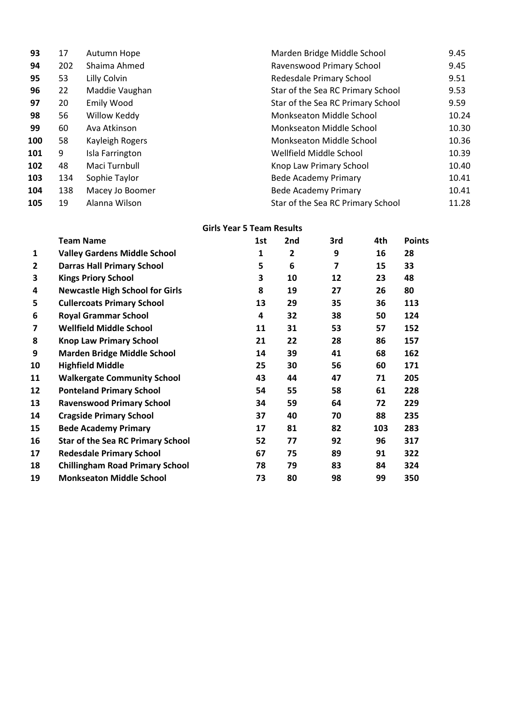| 93  | 17  | Autumn Hope       | Marden Bridge Middle School       | 9.45  |
|-----|-----|-------------------|-----------------------------------|-------|
| 94  | 202 | Shaima Ahmed      | Ravenswood Primary School         | 9.45  |
| 95  | 53  | Lilly Colvin      | Redesdale Primary School          | 9.51  |
| 96  | 22  | Maddie Vaughan    | Star of the Sea RC Primary School | 9.53  |
| 97  | 20  | <b>Emily Wood</b> | Star of the Sea RC Primary School | 9.59  |
| 98  | 56  | Willow Keddy      | Monkseaton Middle School          | 10.24 |
| 99  | 60  | Ava Atkinson      | Monkseaton Middle School          | 10.30 |
| 100 | 58  | Kayleigh Rogers   | Monkseaton Middle School          | 10.36 |
| 101 | 9   | Isla Farrington   | Wellfield Middle School           | 10.39 |
| 102 | 48  | Maci Turnbull     | Knop Law Primary School           | 10.40 |
| 103 | 134 | Sophie Taylor     | Bede Academy Primary              | 10.41 |
| 104 | 138 | Macey Jo Boomer   | <b>Bede Academy Primary</b>       | 10.41 |
| 105 | 19  | Alanna Wilson     | Star of the Sea RC Primary School | 11.28 |

### **Girls Year 5 Team Results**

|    | <b>Team Name</b>                         | 1st | 2nd          | 3rd                     | 4th | <b>Points</b> |
|----|------------------------------------------|-----|--------------|-------------------------|-----|---------------|
| 1  | <b>Valley Gardens Middle School</b>      | 1   | $\mathbf{2}$ | 9                       | 16  | 28            |
| 2  | <b>Darras Hall Primary School</b>        | 5   | 6            | $\overline{\mathbf{z}}$ | 15  | 33            |
| 3  | <b>Kings Priory School</b>               | 3   | 10           | 12                      | 23  | 48            |
| 4  | <b>Newcastle High School for Girls</b>   | 8   | 19           | 27                      | 26  | 80            |
| 5  | <b>Cullercoats Primary School</b>        | 13  | 29           | 35                      | 36  | 113           |
| 6  | <b>Royal Grammar School</b>              | 4   | 32           | 38                      | 50  | 124           |
| 7  | <b>Wellfield Middle School</b>           | 11  | 31           | 53                      | 57  | 152           |
| 8  | <b>Knop Law Primary School</b>           | 21  | 22           | 28                      | 86  | 157           |
| 9  | <b>Marden Bridge Middle School</b>       | 14  | 39           | 41                      | 68  | 162           |
| 10 | <b>Highfield Middle</b>                  | 25  | 30           | 56                      | 60  | 171           |
| 11 | <b>Walkergate Community School</b>       | 43  | 44           | 47                      | 71  | 205           |
| 12 | <b>Ponteland Primary School</b>          | 54  | 55           | 58                      | 61  | 228           |
| 13 | <b>Ravenswood Primary School</b>         | 34  | 59           | 64                      | 72  | 229           |
| 14 | <b>Cragside Primary School</b>           | 37  | 40           | 70                      | 88  | 235           |
| 15 | <b>Bede Academy Primary</b>              | 17  | 81           | 82                      | 103 | 283           |
| 16 | <b>Star of the Sea RC Primary School</b> | 52  | 77           | 92                      | 96  | 317           |
| 17 | <b>Redesdale Primary School</b>          | 67  | 75           | 89                      | 91  | 322           |
| 18 | <b>Chillingham Road Primary School</b>   | 78  | 79           | 83                      | 84  | 324           |
| 19 | <b>Monkseaton Middle School</b>          | 73  | 80           | 98                      | 99  | 350           |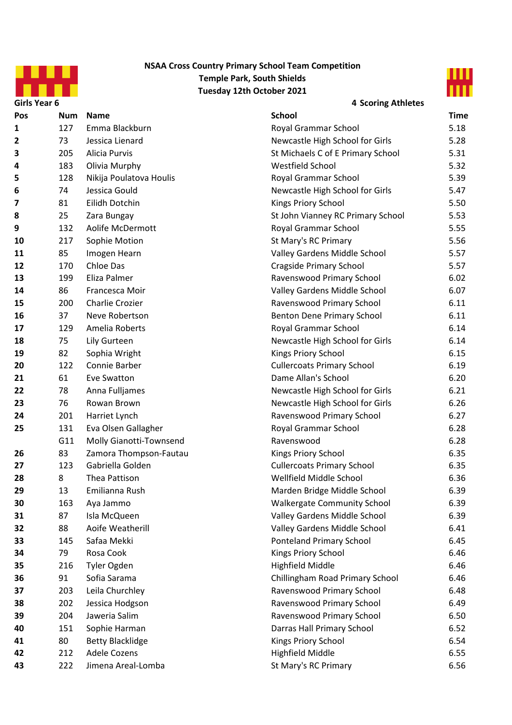



**Girls Year 6 4 Scoring Athletes**

| Pos | <b>Num</b> | <b>Name</b>             | <b>School</b>                      | <b>Time</b> |
|-----|------------|-------------------------|------------------------------------|-------------|
| 1   | 127        | Emma Blackburn          | Royal Grammar School               | 5.18        |
| 2   | 73         | Jessica Lienard         | Newcastle High School for Girls    | 5.28        |
| 3   | 205        | Alicia Purvis           | St Michaels C of E Primary School  | 5.31        |
| 4   | 183        | Olivia Murphy           | Westfield School                   | 5.32        |
| 5   | 128        | Nikija Poulatova Houlis | Royal Grammar School               | 5.39        |
| 6   | 74         | Jessica Gould           | Newcastle High School for Girls    | 5.47        |
| 7   | 81         | Eilidh Dotchin          | Kings Priory School                | 5.50        |
| 8   | 25         | Zara Bungay             | St John Vianney RC Primary School  | 5.53        |
| 9   | 132        | Aolife McDermott        | Royal Grammar School               | 5.55        |
| 10  | 217        | Sophie Motion           | St Mary's RC Primary               | 5.56        |
| 11  | 85         | Imogen Hearn            | Valley Gardens Middle School       | 5.57        |
| 12  | 170        | Chloe Das               | <b>Cragside Primary School</b>     | 5.57        |
| 13  | 199        | Eliza Palmer            | Ravenswood Primary School          | 6.02        |
| 14  | 86         | Francesca Moir          | Valley Gardens Middle School       | 6.07        |
| 15  | 200        | Charlie Crozier         | Ravenswood Primary School          | 6.11        |
| 16  | 37         | Neve Robertson          | <b>Benton Dene Primary School</b>  | 6.11        |
| 17  | 129        | Amelia Roberts          | Royal Grammar School               | 6.14        |
| 18  | 75         | Lily Gurteen            | Newcastle High School for Girls    | 6.14        |
| 19  | 82         | Sophia Wright           | Kings Priory School                | 6.15        |
| 20  | 122        | Connie Barber           | <b>Cullercoats Primary School</b>  | 6.19        |
| 21  | 61         | Eve Swatton             | Dame Allan's School                | 6.20        |
| 22  | 78         | Anna Fulljames          | Newcastle High School for Girls    | 6.21        |
| 23  | 76         | Rowan Brown             | Newcastle High School for Girls    | 6.26        |
| 24  | 201        | Harriet Lynch           | Ravenswood Primary School          | 6.27        |
| 25  | 131        | Eva Olsen Gallagher     | Royal Grammar School               | 6.28        |
|     | G11        | Molly Gianotti-Townsend | Ravenswood                         | 6.28        |
| 26  | 83         | Zamora Thompson-Fautau  | Kings Priory School                | 6.35        |
| 27  | 123        | Gabriella Golden        | <b>Cullercoats Primary School</b>  | 6.35        |
| 28  | 8          | Thea Pattison           | Wellfield Middle School            | 6.36        |
| 29  | 13         | Emilianna Rush          | Marden Bridge Middle School        | 6.39        |
| 30  | 163        | Aya Jammo               | <b>Walkergate Community School</b> | 6.39        |
| 31  | 87         | Isla McQueen            | Valley Gardens Middle School       | 6.39        |
| 32  | 88         | Aoife Weatherill        | Valley Gardens Middle School       | 6.41        |
| 33  | 145        | Safaa Mekki             | <b>Ponteland Primary School</b>    | 6.45        |
| 34  | 79         | Rosa Cook               | Kings Priory School                | 6.46        |
| 35  | 216        | Tyler Ogden             | <b>Highfield Middle</b>            | 6.46        |
| 36  | 91         | Sofia Sarama            | Chillingham Road Primary School    | 6.46        |
| 37  | 203        | Leila Churchley         | Ravenswood Primary School          | 6.48        |
| 38  | 202        | Jessica Hodgson         | Ravenswood Primary School          | 6.49        |
| 39  | 204        | Jaweria Salim           | Ravenswood Primary School          | 6.50        |
| 40  | 151        | Sophie Harman           | Darras Hall Primary School         | 6.52        |
| 41  | 80         | <b>Betty Blacklidge</b> | Kings Priory School                | 6.54        |
| 42  | 212        | Adele Cozens            | <b>Highfield Middle</b>            | 6.55        |
| 43  | 222        | Jimena Areal-Lomba      | St Mary's RC Primary               | 6.56        |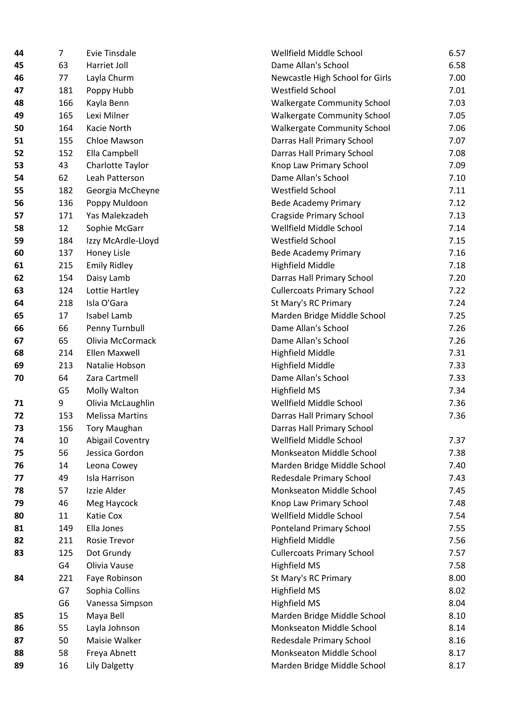| 44 | 7   | Evie Tinsdale           | Wellfield Middle Sch         |
|----|-----|-------------------------|------------------------------|
| 45 | 63  | Harriet Joll            | Dame Allan's School          |
| 46 | 77  | Layla Churm             | Newcastle High Scho          |
| 47 | 181 | Poppy Hubb              | Westfield School             |
| 48 | 166 | Kayla Benn              | Walkergate Commun            |
| 49 | 165 | Lexi Milner             | Walkergate Commur            |
| 50 | 164 | Kacie North             | <b>Walkergate Commun</b>     |
| 51 | 155 | Chloe Mawson            | Darras Hall Primary S        |
| 52 | 152 | Ella Campbell           | Darras Hall Primary S        |
| 53 | 43  | Charlotte Taylor        | Knop Law Primary Sc          |
| 54 | 62  | Leah Patterson          | Dame Allan's School          |
| 55 | 182 | Georgia McCheyne        | Westfield School             |
| 56 | 136 | Poppy Muldoon           | <b>Bede Academy Prima</b>    |
| 57 | 171 | Yas Malekzadeh          | <b>Cragside Primary Sch</b>  |
| 58 | 12  | Sophie McGarr           | Wellfield Middle Sch         |
| 59 | 184 | Izzy McArdle-Lloyd      | Westfield School             |
| 60 | 137 | Honey Lisle             | <b>Bede Academy Prima</b>    |
| 61 | 215 | <b>Emily Ridley</b>     | <b>Highfield Middle</b>      |
| 62 | 154 | Daisy Lamb              | Darras Hall Primary S        |
| 63 | 124 | Lottie Hartley          | <b>Cullercoats Primary S</b> |
| 64 | 218 | Isla O'Gara             | St Mary's RC Primary         |
| 65 | 17  | Isabel Lamb             | Marden Bridge Midd           |
| 66 | 66  | Penny Turnbull          | Dame Allan's School          |
| 67 | 65  | Olivia McCormack        | Dame Allan's School          |
| 68 | 214 | Ellen Maxwell           | <b>Highfield Middle</b>      |
| 69 | 213 | Natalie Hobson          | <b>Highfield Middle</b>      |
| 70 | 64  | Zara Cartmell           | Dame Allan's School          |
|    | G5  | Molly Walton            | <b>Highfield MS</b>          |
| 71 | 9   | Olivia McLaughlin       | Wellfield Middle Sch         |
| 72 | 153 | <b>Melissa Martins</b>  | Darras Hall Primary S        |
| 73 | 156 | <b>Tory Maughan</b>     | Darras Hall Primary S        |
| 74 | 10  | <b>Abigail Coventry</b> | Wellfield Middle Sch         |
| 75 | 56  | Jessica Gordon          | Monkseaton Middle            |
| 76 | 14  | Leona Cowey             | Marden Bridge Midd           |
| 77 | 49  | Isla Harrison           | Redesdale Primary So         |
| 78 | 57  | Izzie Alder             | Monkseaton Middle            |
| 79 | 46  | Meg Haycock             | Knop Law Primary Sc          |
| 80 | 11  | Katie Cox               | Wellfield Middle Sch         |
| 81 | 149 | Ella Jones              | Ponteland Primary So         |
| 82 | 211 | Rosie Trevor            | <b>Highfield Middle</b>      |
| 83 | 125 | Dot Grundy              | <b>Cullercoats Primary S</b> |
|    | G4  | Olivia Vause            | <b>Highfield MS</b>          |
| 84 | 221 | Faye Robinson           | St Mary's RC Primary         |
|    | G7  | Sophia Collins          | <b>Highfield MS</b>          |
|    | G6  | Vanessa Simpson         | <b>Highfield MS</b>          |
| 85 | 15  | Maya Bell               | Marden Bridge Midd           |
| 86 | 55  | Layla Johnson           | Monkseaton Middle            |
| 87 | 50  | Maisie Walker           | Redesdale Primary So         |
| 88 | 58  | Freya Abnett            | Monkseaton Middle            |
| 89 | 16  | <b>Lily Dalgetty</b>    | Marden Bridge Midd           |
|    |     |                         |                              |

| 44 | $\overline{7}$ | <b>Evie Tinsdale</b>    | Wellfield Middle School            | 6.57 |  |  |
|----|----------------|-------------------------|------------------------------------|------|--|--|
| 45 | 63             | Harriet Joll            | Dame Allan's School                |      |  |  |
| 46 | 77             | Layla Churm             | Newcastle High School for Girls    |      |  |  |
| 47 | 181            | Poppy Hubb              | Westfield School                   |      |  |  |
| 48 | 166            | Kayla Benn              | <b>Walkergate Community School</b> | 7.03 |  |  |
| 49 | 165            | Lexi Milner             | <b>Walkergate Community School</b> | 7.05 |  |  |
| 50 | 164            | Kacie North             | <b>Walkergate Community School</b> | 7.06 |  |  |
| 51 | 155            | Chloe Mawson            | Darras Hall Primary School         | 7.07 |  |  |
| 52 | 152            | Ella Campbell           | Darras Hall Primary School         | 7.08 |  |  |
| 53 | 43             | Charlotte Taylor        | Knop Law Primary School            | 7.09 |  |  |
| 54 | 62             | Leah Patterson          | Dame Allan's School                | 7.10 |  |  |
| 55 | 182            | Georgia McCheyne        | Westfield School                   | 7.11 |  |  |
| 56 | 136            | Poppy Muldoon           | <b>Bede Academy Primary</b>        | 7.12 |  |  |
| 57 | 171            | Yas Malekzadeh          | <b>Cragside Primary School</b>     | 7.13 |  |  |
| 58 | 12             | Sophie McGarr           | Wellfield Middle School            | 7.14 |  |  |
| 59 | 184            | Izzy McArdle-Lloyd      | Westfield School                   | 7.15 |  |  |
| 60 | 137            | Honey Lisle             | <b>Bede Academy Primary</b>        | 7.16 |  |  |
| 61 | 215            | <b>Emily Ridley</b>     | <b>Highfield Middle</b>            | 7.18 |  |  |
| 62 | 154            | Daisy Lamb              | Darras Hall Primary School         | 7.20 |  |  |
| 63 | 124            | Lottie Hartley          | <b>Cullercoats Primary School</b>  | 7.22 |  |  |
| 64 | 218            | Isla O'Gara             | St Mary's RC Primary               | 7.24 |  |  |
| 65 | 17             | Isabel Lamb             | Marden Bridge Middle School        | 7.25 |  |  |
| 66 | 66             | Penny Turnbull          | Dame Allan's School                | 7.26 |  |  |
| 67 | 65             | Olivia McCormack        | Dame Allan's School                | 7.26 |  |  |
| 68 | 214            | Ellen Maxwell           | <b>Highfield Middle</b>            | 7.31 |  |  |
| 69 | 213            | Natalie Hobson          | <b>Highfield Middle</b>            | 7.33 |  |  |
| 70 | 64             | Zara Cartmell           | Dame Allan's School                | 7.33 |  |  |
|    | G <sub>5</sub> | Molly Walton            | <b>Highfield MS</b>                | 7.34 |  |  |
| 71 | 9              | Olivia McLaughlin       | Wellfield Middle School            | 7.36 |  |  |
| 72 | 153            | <b>Melissa Martins</b>  | Darras Hall Primary School         | 7.36 |  |  |
| 73 | 156            | <b>Tory Maughan</b>     | Darras Hall Primary School         |      |  |  |
| 74 | 10             | <b>Abigail Coventry</b> | Wellfield Middle School            | 7.37 |  |  |
| 75 | 56             | Jessica Gordon          | Monkseaton Middle School           | 7.38 |  |  |
| 76 | 14             | Leona Cowey             | Marden Bridge Middle School        | 7.40 |  |  |
| 77 | 49             | Isla Harrison           | Redesdale Primary School           | 7.43 |  |  |
| 78 | 57             | Izzie Alder             | Monkseaton Middle School           | 7.45 |  |  |
| 79 | 46             | Meg Haycock             | Knop Law Primary School            | 7.48 |  |  |
| 80 | 11             | Katie Cox               | Wellfield Middle School            | 7.54 |  |  |
| 81 | 149            | Ella Jones              | <b>Ponteland Primary School</b>    | 7.55 |  |  |
| 82 | 211            | Rosie Trevor            | <b>Highfield Middle</b>            | 7.56 |  |  |
| 83 | 125            | Dot Grundy              | <b>Cullercoats Primary School</b>  | 7.57 |  |  |
|    | G4             | Olivia Vause            | Highfield MS                       | 7.58 |  |  |
| 84 | 221            | Faye Robinson           | St Mary's RC Primary               | 8.00 |  |  |
|    | G7             | Sophia Collins          | <b>Highfield MS</b>                | 8.02 |  |  |
|    | G6             | Vanessa Simpson         | <b>Highfield MS</b>                | 8.04 |  |  |
| 85 | 15             | Maya Bell               | Marden Bridge Middle School        | 8.10 |  |  |
| 86 | 55             | Layla Johnson           | Monkseaton Middle School           | 8.14 |  |  |
| 87 | 50             | Maisie Walker           | Redesdale Primary School           | 8.16 |  |  |
| 88 | 58             | Freya Abnett            | Monkseaton Middle School           | 8.17 |  |  |
| 89 | 16             | Lily Dalgetty           | Marden Bridge Middle School        | 8.17 |  |  |